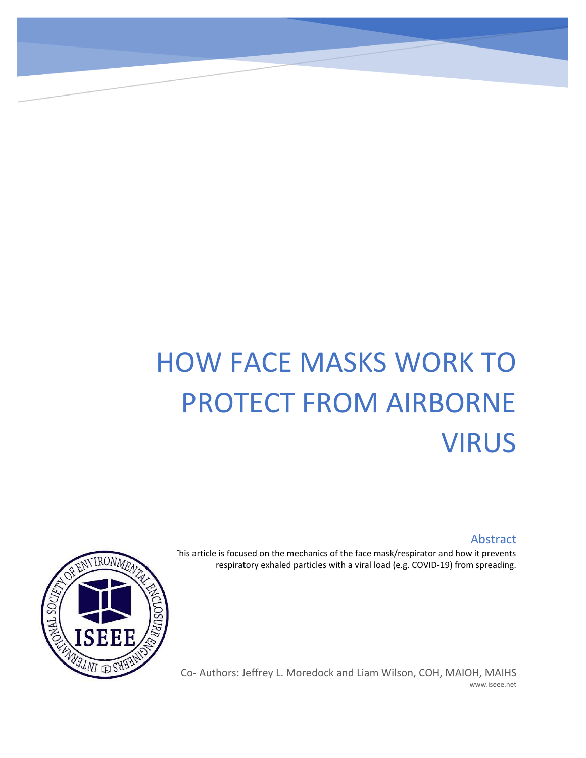## HOW FACE MASKS WORK TO PROTECT FROM AIRBORNE VIRUS

## Abstract

This article is focused on the mechanics of the face mask/respirator and how it prevents respiratory exhaled particles with a viral load (e.g. COVID-19) from spreading.



Co- Authors: Jeffrey L. Moredock and Liam Wilson, COH, MAIOH, MAIHS www.iseee.net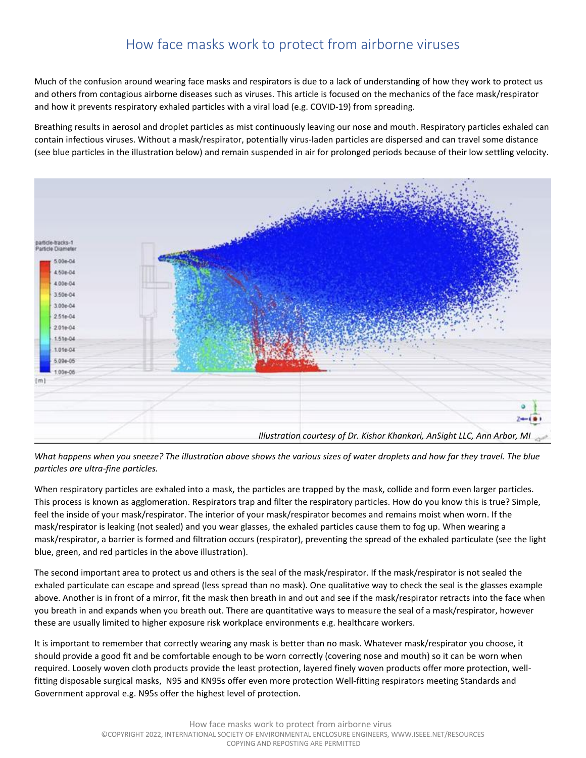## How face masks work to protect from airborne viruses

Much of the confusion around wearing face masks and respirators is due to a lack of understanding of how they work to protect us and others from contagious airborne diseases such as viruses. This article is focused on the mechanics of the face mask/respirator and how it prevents respiratory exhaled particles with a viral load (e.g. COVID-19) from spreading.

Breathing results in aerosol and droplet particles as mist continuously leaving our nose and mouth. Respiratory particles exhaled can contain infectious viruses. Without a mask/respirator, potentially virus-laden particles are dispersed and can travel some distance (see blue particles in the illustration below) and remain suspended in air for prolonged periods because of their low settling velocity.



*What happens when you sneeze? The illustration above shows the various sizes of water droplets and how far they travel. The blue particles are ultra-fine particles.* 

When respiratory particles are exhaled into a mask, the particles are trapped by the mask, collide and form even larger particles. This process is known as agglomeration. Respirators trap and filter the respiratory particles. How do you know this is true? Simple, feel the inside of your mask/respirator. The interior of your mask/respirator becomes and remains moist when worn. If the mask/respirator is leaking (not sealed) and you wear glasses, the exhaled particles cause them to fog up. When wearing a mask/respirator, a barrier is formed and filtration occurs (respirator), preventing the spread of the exhaled particulate (see the light blue, green, and red particles in the above illustration).

The second important area to protect us and others is the seal of the mask/respirator. If the mask/respirator is not sealed the exhaled particulate can escape and spread (less spread than no mask). One qualitative way to check the seal is the glasses example above. Another is in front of a mirror, fit the mask then breath in and out and see if the mask/respirator retracts into the face when you breath in and expands when you breath out. There are quantitative ways to measure the seal of a mask/respirator, however these are usually limited to higher exposure risk workplace environments e.g. healthcare workers.

It is important to remember that correctly wearing any mask is better than no mask. Whatever mask/respirator you choose, it should provide a good fit and be comfortable enough to be worn correctly (covering nose and mouth) so it can be worn when required. Loosely woven cloth products provide the least protection, layered finely woven products offer more protection, wellfitting disposable surgical masks, N95 and KN95s offer even more protection Well-fitting respirators meeting Standards and Government approval e.g. N95s offer the highest level of protection.